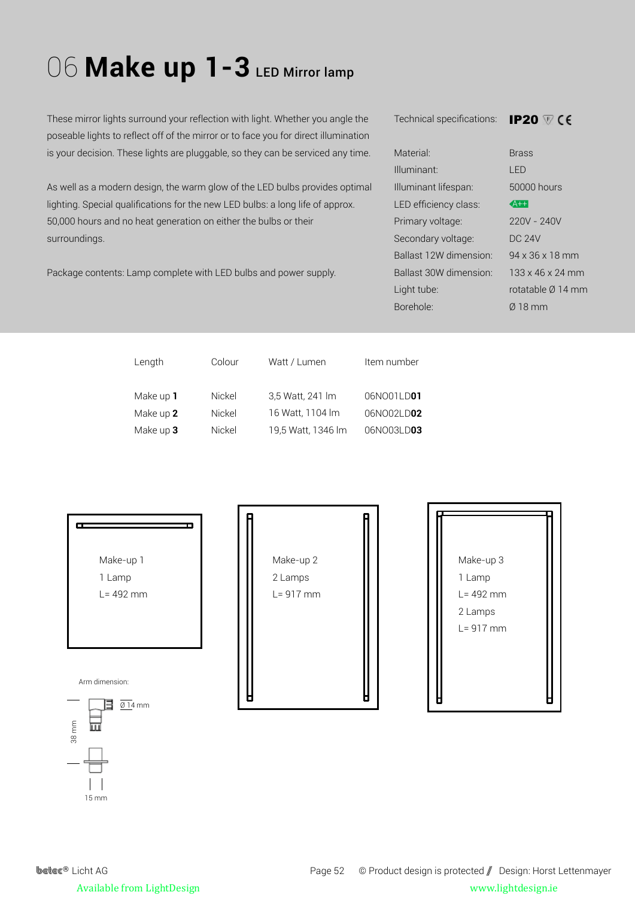## O6 Make up 1-3 LED Mirror lamp

These mirror lights surround your reflection with light. Whether you angle the poseable lights to reflect off of the mirror or to face you for direct illumination is your decision. These lights are pluggable, so they can be serviced any time.

As well as a modern design, the warm glow of the LED bulbs provides optimal lighting. Special qualifications for the new LED bulbs: a long life of approx. 50,000 hours and no heat generation on either the bulbs or their surroundings.

Package contents: Lamp complete with LED bulbs and power supply.

Technical specifications: IP20

| Material <sup>.</sup>   | <b>Brass</b>                 |
|-------------------------|------------------------------|
| Illuminant <sup>.</sup> | LED                          |
| Illuminant lifespan:    | 50000 hours                  |
| LED efficiency class:   | $A++$                        |
| Primary voltage:        | 220V - 240V                  |
| Secondary voltage:      | DC 24V                       |
| Ballast 12W dimension:  | 94 x 36 x 18 mm              |
| Ballast 30W dimension:  | $133 \times 46 \times 24$ mm |
| Light tube:             | rotatable Ø 14 mm            |
| Borehole <sup>.</sup>   | 018 mm                       |
|                         |                              |

| Colour | Watt / Lumen       | Item number |
|--------|--------------------|-------------|
| Nickel | 3,5 Watt, 241 Im   | 06NO01LD01  |
| Nickel | 16 Watt, 1104 lm   | 06NO02LD02  |
| Nickel | 19,5 Watt, 1346 lm | 06NO03LD03  |
|        |                    |             |



15 mm